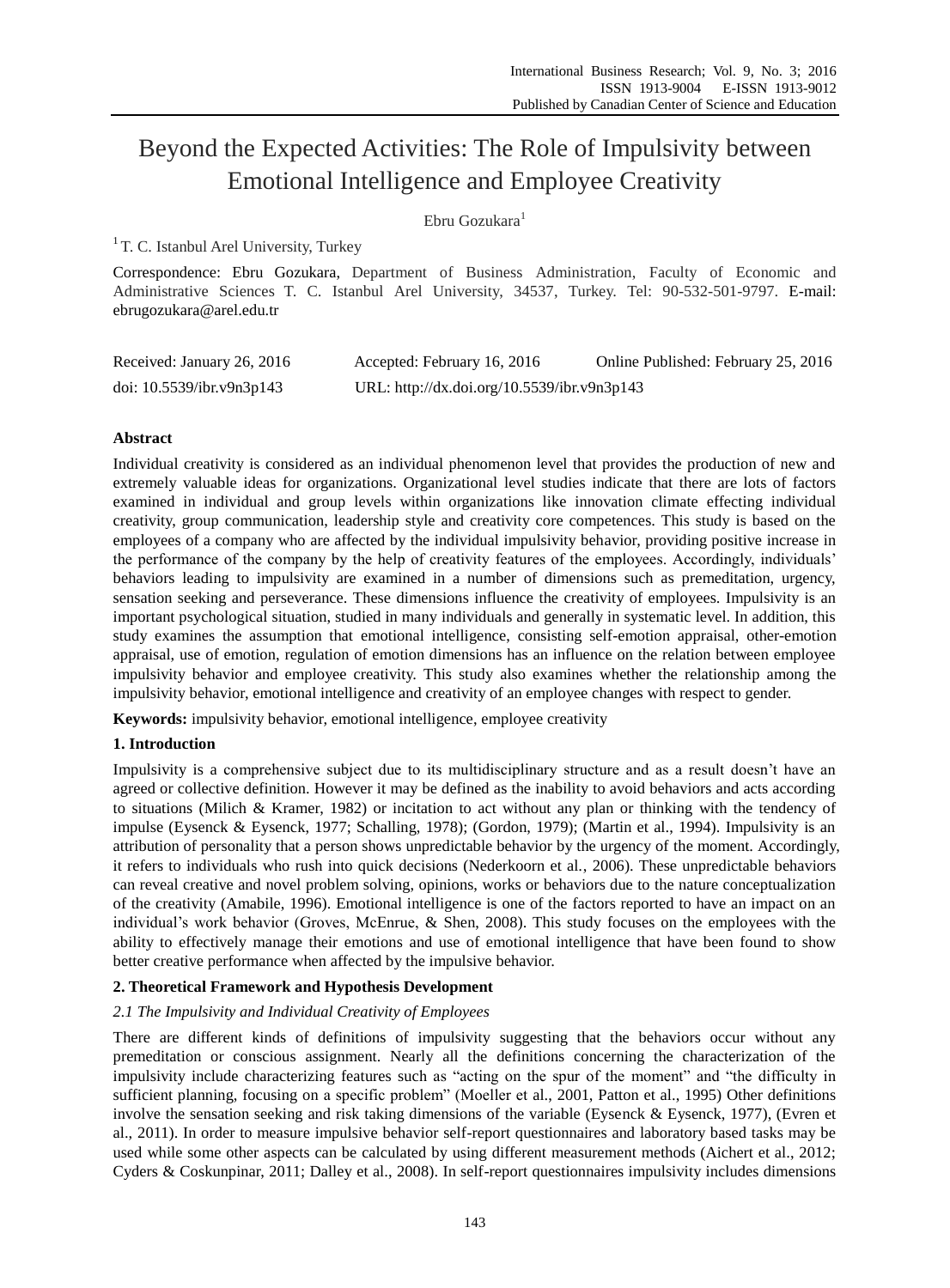# Beyond the Expected Activities: The Role of Impulsivity between Emotional Intelligence and Employee Creativity

# Ebru Gozukara<sup>1</sup>

<sup>1</sup> T. C. Istanbul Arel University, Turkey

Correspondence: Ebru Gozukara, Department of Business Administration, Faculty of Economic and Administrative Sciences T. C. Istanbul Arel University, 34537, Turkey. Tel: 90-532-501-9797. E-mail: ebrugozukara@arel.edu.tr

| Received: January 26, 2016   | Accepted: February 16, 2016                 | Online Published: February 25, 2016 |
|------------------------------|---------------------------------------------|-------------------------------------|
| doi: $10.5539$ /ibr.v9n3p143 | URL: http://dx.doi.org/10.5539/ibr.v9n3p143 |                                     |

# **Abstract**

Individual creativity is considered as an individual phenomenon level that provides the production of new and extremely valuable ideas for organizations. Organizational level studies indicate that there are lots of factors examined in individual and group levels within organizations like innovation climate effecting individual creativity, group communication, leadership style and creativity core competences. This study is based on the employees of a company who are affected by the individual impulsivity behavior, providing positive increase in the performance of the company by the help of creativity features of the employees. Accordingly, individuals' behaviors leading to impulsivity are examined in a number of dimensions such as premeditation, urgency, sensation seeking and perseverance. These dimensions influence the creativity of employees. Impulsivity is an important psychological situation, studied in many individuals and generally in systematic level. In addition, this study examines the assumption that emotional intelligence, consisting self-emotion appraisal, other-emotion appraisal, use of emotion, regulation of emotion dimensions has an influence on the relation between employee impulsivity behavior and employee creativity. This study also examines whether the relationship among the impulsivity behavior, emotional intelligence and creativity of an employee changes with respect to gender.

**Keywords:** impulsivity behavior, emotional intelligence, employee creativity

# **1. Introduction**

Impulsivity is a comprehensive subject due to its multidisciplinary structure and as a result doesn't have an agreed or collective definition. However it may be defined as the inability to avoid behaviors and acts according to situations (Milich & Kramer, 1982) or incitation to act without any plan or thinking with the tendency of impulse (Eysenck & Eysenck, 1977; Schalling, 1978); (Gordon, 1979); (Martin et al., 1994). Impulsivity is an attribution of personality that a person shows unpredictable behavior by the urgency of the moment. Accordingly, it refers to individuals who rush into quick decisions (Nederkoorn et al., 2006). These unpredictable behaviors can reveal creative and novel problem solving, opinions, works or behaviors due to the nature conceptualization of the creativity (Amabile, 1996). Emotional intelligence is one of the factors reported to have an impact on an individual's work behavior (Groves, McEnrue, & Shen, 2008). This study focuses on the employees with the ability to effectively manage their emotions and use of emotional intelligence that have been found to show better creative performance when affected by the impulsive behavior.

### **2. Theoretical Framework and Hypothesis Development**

### *2.1 The Impulsivity and Individual Creativity of Employees*

There are different kinds of definitions of impulsivity suggesting that the behaviors occur without any premeditation or conscious assignment. Nearly all the definitions concerning the characterization of the impulsivity include characterizing features such as "acting on the spur of the moment" and "the difficulty in sufficient planning, focusing on a specific problem" (Moeller et al., 2001, Patton et al., 1995) Other definitions involve the sensation seeking and risk taking dimensions of the variable (Eysenck & Eysenck, 1977), (Evren et al., 2011). In order to measure impulsive behavior self-report questionnaires and laboratory based tasks may be used while some other aspects can be calculated by using different measurement methods (Aichert et al., 2012; Cyders & Coskunpinar, 2011; Dalley et al., 2008). In self-report questionnaires impulsivity includes dimensions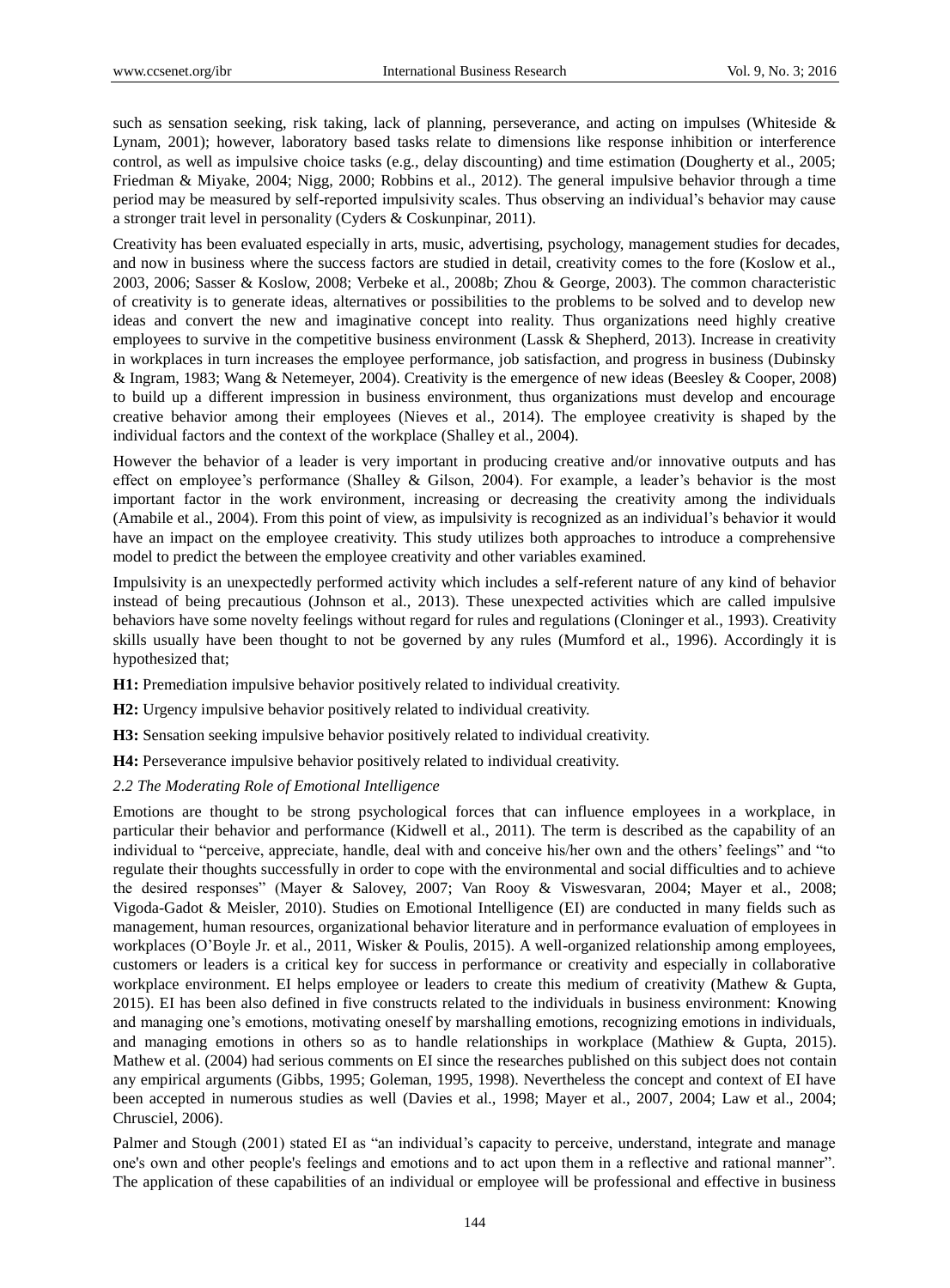such as sensation seeking, risk taking, lack of planning, perseverance, and acting on impulses (Whiteside  $\&$ Lynam, 2001); however, laboratory based tasks relate to dimensions like response inhibition or interference control, as well as impulsive choice tasks (e.g., delay discounting) and time estimation (Dougherty et al., 2005; Friedman & Miyake, 2004; Nigg, 2000; Robbins et al., 2012). The general impulsive behavior through a time period may be measured by self-reported impulsivity scales. Thus observing an individual's behavior may cause a stronger trait level in personality (Cyders & Coskunpinar, 2011).

Creativity has been evaluated especially in arts, music, advertising, psychology, management studies for decades, and now in business where the success factors are studied in detail, creativity comes to the fore (Koslow et al., 2003, 2006; Sasser & Koslow, 2008; Verbeke et al., 2008b; Zhou & George, 2003). The common characteristic of creativity is to generate ideas, alternatives or possibilities to the problems to be solved and to develop new ideas and convert the new and imaginative concept into reality. Thus organizations need highly creative employees to survive in the competitive business environment (Lassk & Shepherd, 2013). Increase in creativity in workplaces in turn increases the employee performance, job satisfaction, and progress in business (Dubinsky & Ingram, 1983; Wang & Netemeyer, 2004). Creativity is the emergence of new ideas (Beesley & Cooper, 2008) to build up a different impression in business environment, thus organizations must develop and encourage creative behavior among their employees (Nieves et al., 2014). The employee creativity is shaped by the individual factors and the context of the workplace (Shalley et al., 2004).

However the behavior of a leader is very important in producing creative and/or innovative outputs and has effect on employee's performance (Shalley & Gilson, 2004). For example, a leader's behavior is the most important factor in the work environment, increasing or decreasing the creativity among the individuals (Amabile et al., 2004). From this point of view, as impulsivity is recognized as an individual's behavior it would have an impact on the employee creativity. This study utilizes both approaches to introduce a comprehensive model to predict the between the employee creativity and other variables examined.

Impulsivity is an unexpectedly performed activity which includes a self-referent nature of any kind of behavior instead of being precautious (Johnson et al., 2013). These unexpected activities which are called impulsive behaviors have some novelty feelings without regard for rules and regulations (Cloninger et al., 1993). Creativity skills usually have been thought to not be governed by any rules (Mumford et al., 1996). Accordingly it is hypothesized that;

**H1:** Premediation impulsive behavior positively related to individual creativity.

**H2:** Urgency impulsive behavior positively related to individual creativity.

**H3:** Sensation seeking impulsive behavior positively related to individual creativity.

**H4:** Perseverance impulsive behavior positively related to individual creativity.

### *2.2 The Moderating Role of Emotional Intelligence*

Emotions are thought to be strong psychological forces that can influence employees in a workplace, in particular their behavior and performance (Kidwell et al., 2011). The term is described as the capability of an individual to "perceive, appreciate, handle, deal with and conceive his/her own and the others' feelings" and "to regulate their thoughts successfully in order to cope with the environmental and social difficulties and to achieve the desired responses" (Mayer & Salovey, 2007; Van Rooy & Viswesvaran, 2004; Mayer et al., 2008; Vigoda-Gadot & Meisler, 2010). Studies on Emotional Intelligence (EI) are conducted in many fields such as management, human resources, organizational behavior literature and in performance evaluation of employees in workplaces (O'Boyle Jr. et al., 2011, Wisker & Poulis, 2015). A well-organized relationship among employees, customers or leaders is a critical key for success in performance or creativity and especially in collaborative workplace environment. EI helps employee or leaders to create this medium of creativity (Mathew & Gupta, 2015). EI has been also defined in five constructs related to the individuals in business environment: Knowing and managing one's emotions, motivating oneself by marshalling emotions, recognizing emotions in individuals, and managing emotions in others so as to handle relationships in workplace (Mathiew & Gupta, 2015). Mathew et al. (2004) had serious comments on EI since the researches published on this subject does not contain any empirical arguments (Gibbs, 1995; Goleman, 1995, 1998). Nevertheless the concept and context of EI have been accepted in numerous studies as well (Davies et al., 1998; Mayer et al., 2007, 2004; Law et al., 2004; Chrusciel, 2006).

Palmer and Stough (2001) stated EI as "an individual's capacity to perceive, understand, integrate and manage one's own and other people's feelings and emotions and to act upon them in a reflective and rational manner". The application of these capabilities of an individual or employee will be professional and effective in business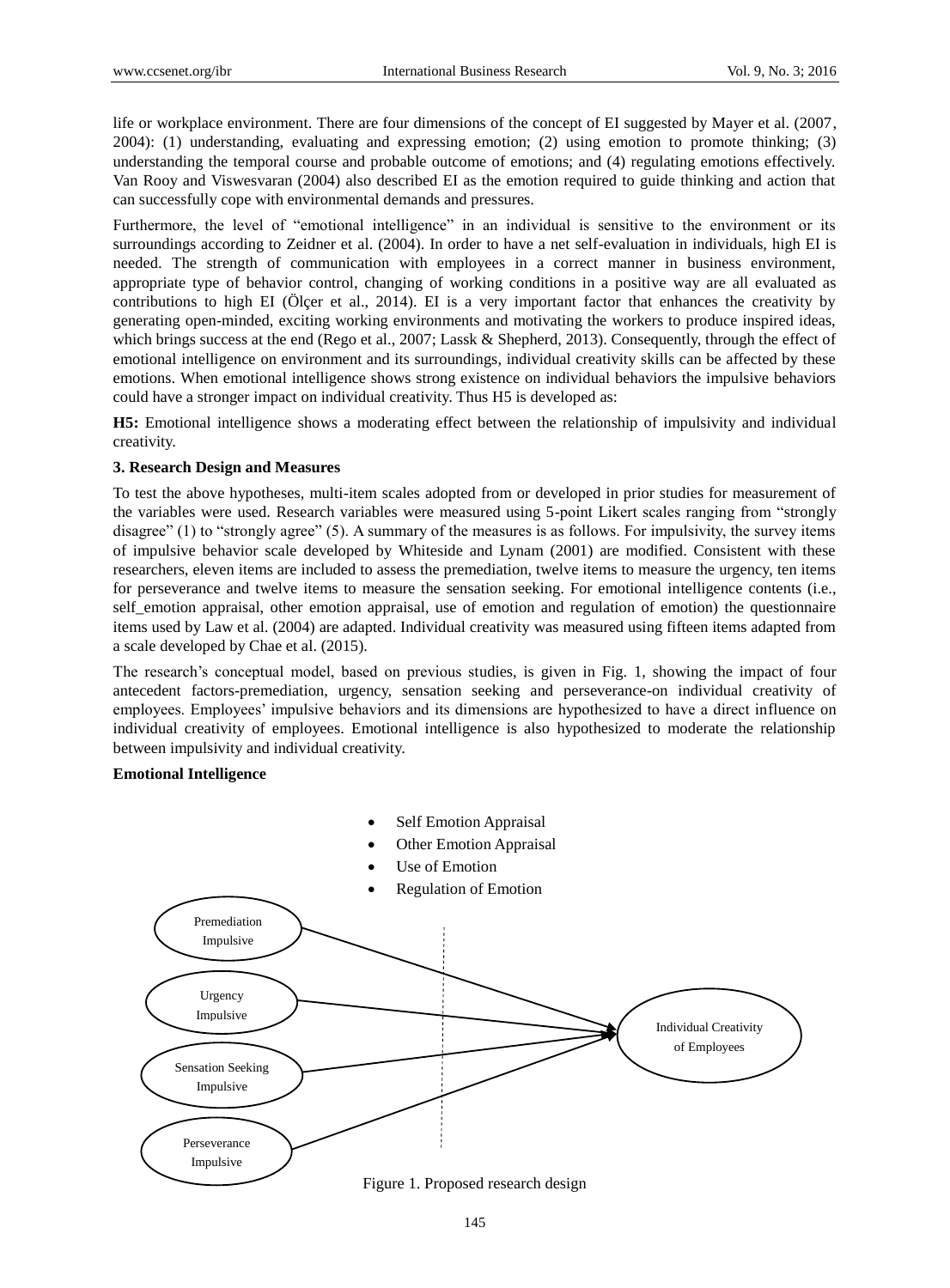life or workplace environment. There are four dimensions of the concept of EI suggested by Mayer et al. (2007, 2004): (1) understanding, evaluating and expressing emotion; (2) using emotion to promote thinking; (3) understanding the temporal course and probable outcome of emotions; and (4) regulating emotions effectively. Van Rooy and Viswesvaran (2004) also described EI as the emotion required to guide thinking and action that can successfully cope with environmental demands and pressures.

Furthermore, the level of "emotional intelligence" in an individual is sensitive to the environment or its surroundings according to Zeidner et al. (2004). In order to have a net self-evaluation in individuals, high EI is needed. The strength of communication with employees in a correct manner in business environment, appropriate type of behavior control, changing of working conditions in a positive way are all evaluated as contributions to high EI (Ö lçer et al., 2014). EI is a very important factor that enhances the creativity by generating open-minded, exciting working environments and motivating the workers to produce inspired ideas, which brings success at the end (Rego et al., 2007; Lassk & Shepherd, 2013). Consequently, through the effect of emotional intelligence on environment and its surroundings, individual creativity skills can be affected by these emotions. When emotional intelligence shows strong existence on individual behaviors the impulsive behaviors could have a stronger impact on individual creativity. Thus H5 is developed as:

**H5:** Emotional intelligence shows a moderating effect between the relationship of impulsivity and individual creativity.

### **3. Research Design and Measures**

To test the above hypotheses, multi-item scales adopted from or developed in prior studies for measurement of the variables were used. Research variables were measured using 5-point Likert scales ranging from "strongly disagree" (1) to "strongly agree" (5). A summary of the measures is as follows. For impulsivity, the survey items of impulsive behavior scale developed by Whiteside and Lynam (2001) are modified. Consistent with these researchers, eleven items are included to assess the premediation, twelve items to measure the urgency, ten items for perseverance and twelve items to measure the sensation seeking. For emotional intelligence contents (i.e., self\_emotion appraisal, other emotion appraisal, use of emotion and regulation of emotion) the questionnaire items used by Law et al. (2004) are adapted. Individual creativity was measured using fifteen items adapted from a scale developed by Chae et al. (2015).

The research's conceptual model, based on previous studies, is given in Fig. 1, showing the impact of four antecedent factors-premediation, urgency, sensation seeking and perseverance-on individual creativity of employees. Employees' impulsive behaviors and its dimensions are hypothesized to have a direct influence on individual creativity of employees. Emotional intelligence is also hypothesized to moderate the relationship between impulsivity and individual creativity.

### **Emotional Intelligence**



Figure 1. Proposed research design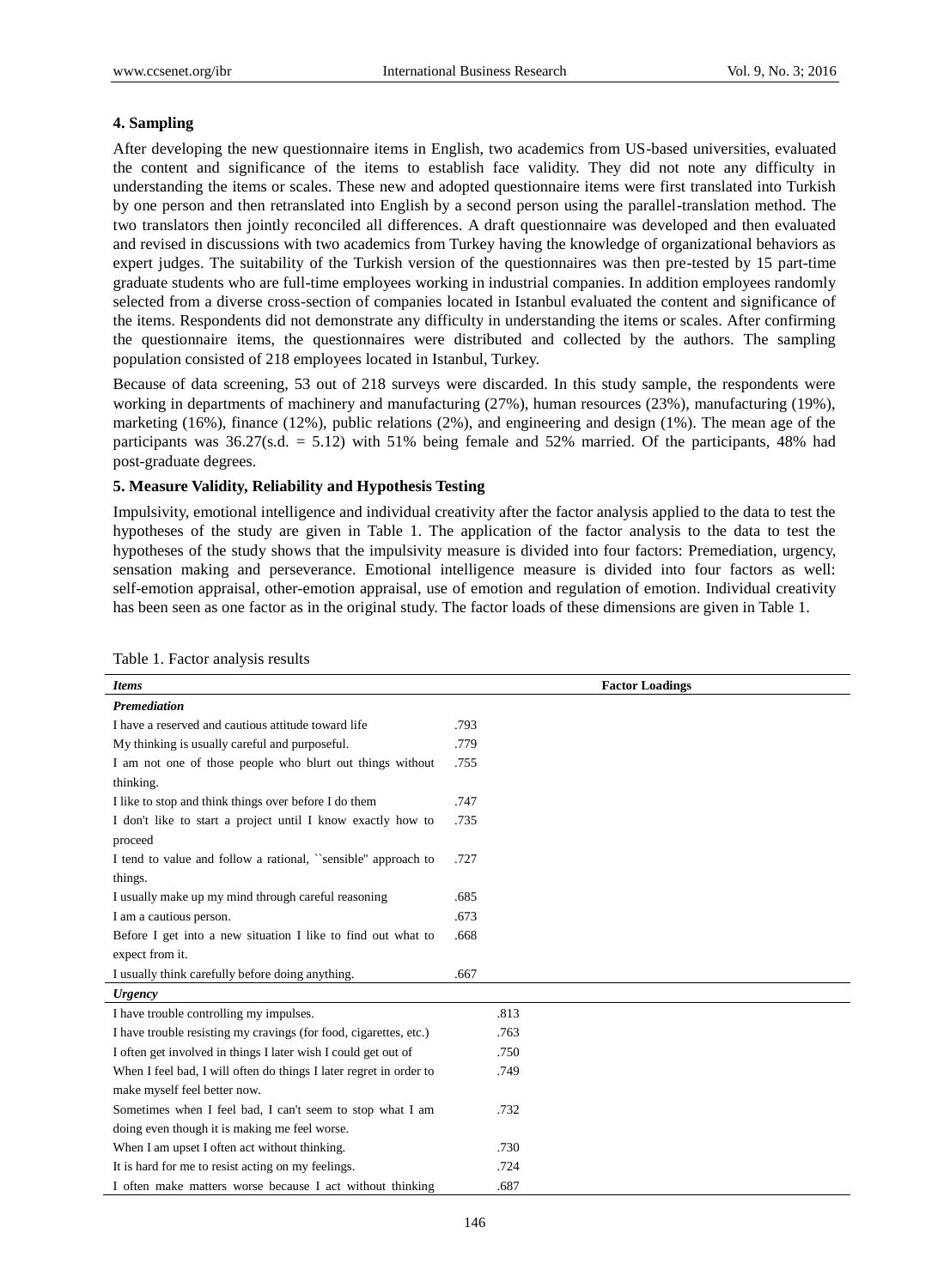# **4. Sampling**

After developing the new questionnaire items in English, two academics from US-based universities, evaluated the content and significance of the items to establish face validity. They did not note any difficulty in understanding the items or scales. These new and adopted questionnaire items were first translated into Turkish by one person and then retranslated into English by a second person using the parallel-translation method. The two translators then jointly reconciled all differences. A draft questionnaire was developed and then evaluated and revised in discussions with two academics from Turkey having the knowledge of organizational behaviors as expert judges. The suitability of the Turkish version of the questionnaires was then pre-tested by 15 part-time graduate students who are full-time employees working in industrial companies. In addition employees randomly selected from a diverse cross-section of companies located in Istanbul evaluated the content and significance of the items. Respondents did not demonstrate any difficulty in understanding the items or scales. After confirming the questionnaire items, the questionnaires were distributed and collected by the authors. The sampling population consisted of 218 employees located in Istanbul, Turkey.

Because of data screening, 53 out of 218 surveys were discarded. In this study sample, the respondents were working in departments of machinery and manufacturing (27%), human resources (23%), manufacturing (19%), marketing (16%), finance (12%), public relations (2%), and engineering and design (1%). The mean age of the participants was  $36.27$ (s.d. = 5.12) with  $51\%$  being female and  $52\%$  married. Of the participants, 48% had post-graduate degrees.

# **5. Measure Validity, Reliability and Hypothesis Testing**

Impulsivity, emotional intelligence and individual creativity after the factor analysis applied to the data to test the hypotheses of the study are given in Table 1. The application of the factor analysis to the data to test the hypotheses of the study shows that the impulsivity measure is divided into four factors: Premediation, urgency, sensation making and perseverance. Emotional intelligence measure is divided into four factors as well: self-emotion appraisal, other-emotion appraisal, use of emotion and regulation of emotion. Individual creativity has been seen as one factor as in the original study. The factor loads of these dimensions are given in Table 1.

| <b>Items</b>                                                       | <b>Factor Loadings</b> |
|--------------------------------------------------------------------|------------------------|
| <b>Premediation</b>                                                |                        |
| I have a reserved and cautious attitude toward life                | .793                   |
| My thinking is usually careful and purposeful.                     | .779                   |
| I am not one of those people who blurt out things without          | .755                   |
| thinking.                                                          |                        |
| I like to stop and think things over before I do them              | .747                   |
| I don't like to start a project until I know exactly how to        | .735                   |
| proceed                                                            |                        |
| I tend to value and follow a rational, "sensible" approach to      | .727                   |
| things.                                                            |                        |
| I usually make up my mind through careful reasoning                | .685                   |
| I am a cautious person.                                            | .673                   |
| Before I get into a new situation I like to find out what to       | .668                   |
| expect from it.                                                    |                        |
| I usually think carefully before doing anything.                   | .667                   |
| <b>Urgency</b>                                                     |                        |
| I have trouble controlling my impulses.                            | .813                   |
| I have trouble resisting my cravings (for food, cigarettes, etc.)  | .763                   |
| I often get involved in things I later wish I could get out of     | .750                   |
| When I feel bad, I will often do things I later regret in order to | .749                   |
| make myself feel better now.                                       |                        |
| Sometimes when I feel bad, I can't seem to stop what I am          | .732                   |
| doing even though it is making me feel worse.                      |                        |
| When I am upset I often act without thinking.                      | .730                   |
| It is hard for me to resist acting on my feelings.                 | .724                   |
| I often make matters worse because I act without thinking          | .687                   |

Table 1. Factor analysis results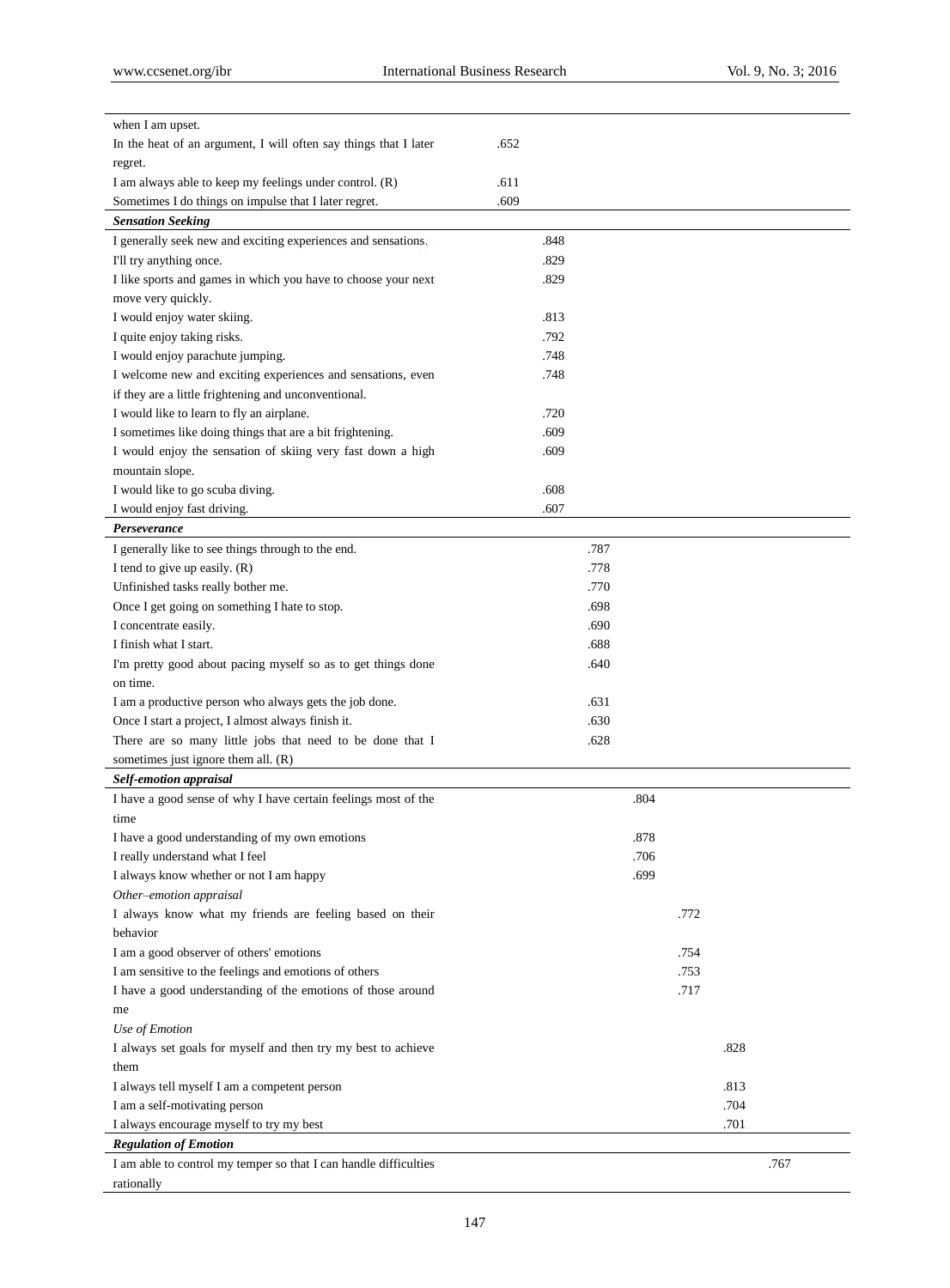| when I am upset.                                                       |              |      |
|------------------------------------------------------------------------|--------------|------|
| In the heat of an argument, I will often say things that I later       | .652         |      |
| regret.                                                                |              |      |
| I am always able to keep my feelings under control. (R)                | .611         |      |
| Sometimes I do things on impulse that I later regret.                  | .609         |      |
| <b>Sensation Seeking</b>                                               |              |      |
| I generally seek new and exciting experiences and sensations.          | .848         |      |
| I'll try anything once.                                                | .829         |      |
| I like sports and games in which you have to choose your next          | .829         |      |
| move very quickly.                                                     |              |      |
| I would enjoy water skiing.                                            | .813         |      |
| I quite enjoy taking risks.                                            | .792         |      |
| I would enjoy parachute jumping.                                       | .748         |      |
| I welcome new and exciting experiences and sensations, even            | .748         |      |
| if they are a little frightening and unconventional.                   |              |      |
| I would like to learn to fly an airplane.                              | .720         |      |
| I sometimes like doing things that are a bit frightening.              | .609         |      |
| I would enjoy the sensation of skiing very fast down a high            | .609         |      |
| mountain slope.                                                        |              |      |
| I would like to go scuba diving.                                       | .608         |      |
| I would enjoy fast driving.                                            | .607         |      |
| Perseverance                                                           |              |      |
| I generally like to see things through to the end.                     | .787         |      |
| I tend to give up easily. (R)                                          | .778         |      |
| Unfinished tasks really bother me.                                     | .770<br>.698 |      |
| Once I get going on something I hate to stop.<br>I concentrate easily. | .690         |      |
| I finish what I start.                                                 | .688         |      |
| I'm pretty good about pacing myself so as to get things done           | .640         |      |
| on time.                                                               |              |      |
| I am a productive person who always gets the job done.                 | .631         |      |
| Once I start a project, I almost always finish it.                     | .630         |      |
| There are so many little jobs that need to be done that I              | .628         |      |
| sometimes just ignore them all. $(R)$                                  |              |      |
| Self-emotion appraisal                                                 |              |      |
| I have a good sense of why I have certain feelings most of the         | .804         |      |
| time                                                                   |              |      |
| I have a good understanding of my own emotions                         | .878         |      |
| I really understand what I feel                                        | .706         |      |
| I always know whether or not I am happy                                | .699         |      |
| Other-emotion appraisal                                                |              |      |
| I always know what my friends are feeling based on their               |              | .772 |
| behavior                                                               |              |      |
| I am a good observer of others' emotions                               |              | .754 |
| I am sensitive to the feelings and emotions of others                  |              | .753 |
| I have a good understanding of the emotions of those around            |              | .717 |
| me                                                                     |              |      |
| Use of Emotion                                                         |              |      |
| I always set goals for myself and then try my best to achieve          |              | .828 |
| them                                                                   |              |      |
| I always tell myself I am a competent person                           |              | .813 |
| I am a self-motivating person                                          |              | .704 |
| I always encourage myself to try my best                               |              | .701 |
| <b>Regulation of Emotion</b>                                           |              |      |
| I am able to control my temper so that I can handle difficulties       |              | .767 |
| rationally                                                             |              |      |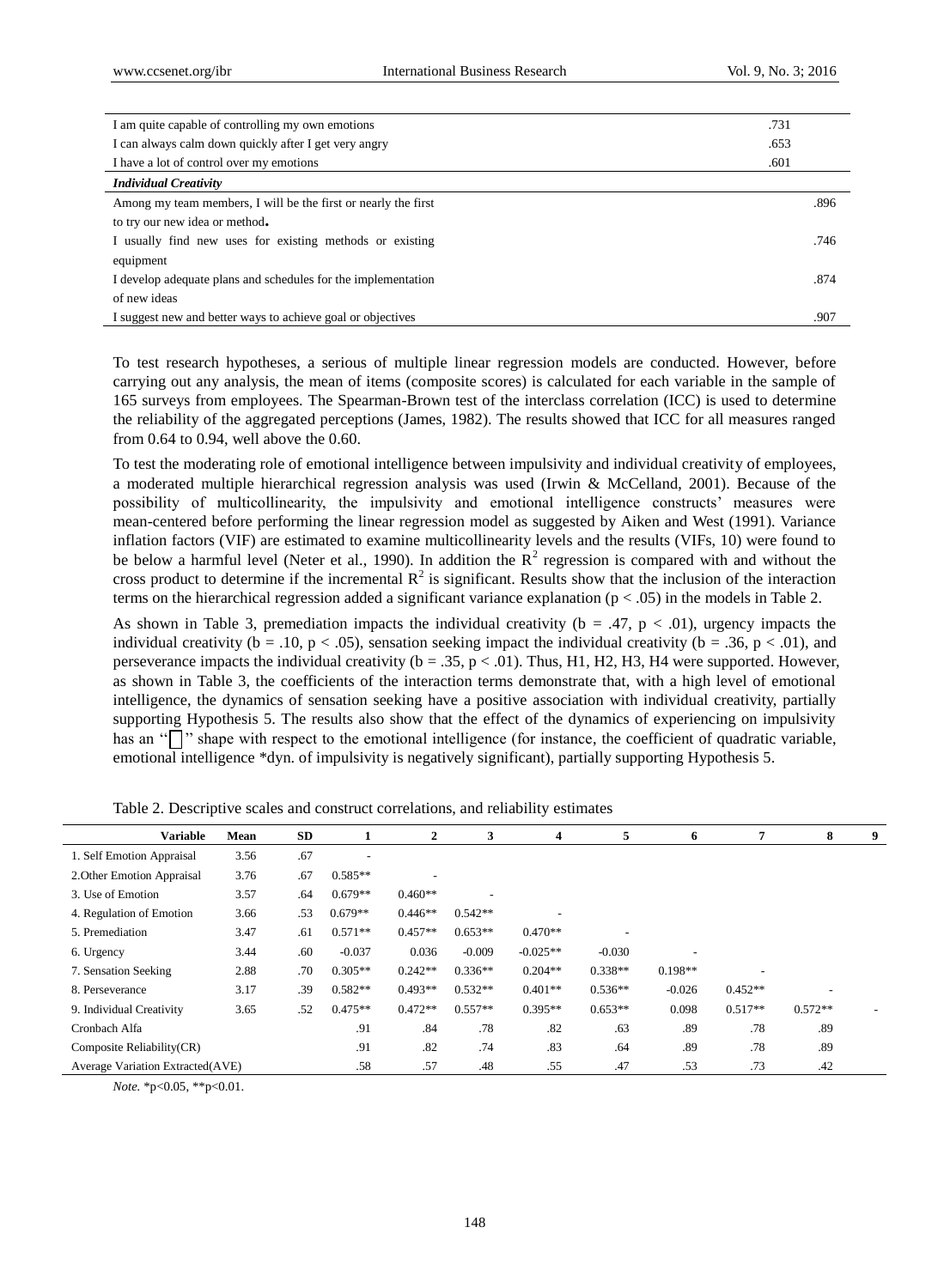| I am quite capable of controlling my own emotions              |      |  |  |
|----------------------------------------------------------------|------|--|--|
| I can always calm down quickly after I get very angry          |      |  |  |
| I have a lot of control over my emotions                       |      |  |  |
| <b>Individual Creativity</b>                                   |      |  |  |
| Among my team members, I will be the first or nearly the first | .896 |  |  |
| to try our new idea or method.                                 |      |  |  |
| I usually find new uses for existing methods or existing       |      |  |  |
| equipment                                                      |      |  |  |
| I develop adequate plans and schedules for the implementation  |      |  |  |
| of new ideas                                                   |      |  |  |
| I suggest new and better ways to achieve goal or objectives    |      |  |  |

To test research hypotheses, a serious of multiple linear regression models are conducted. However, before carrying out any analysis, the mean of items (composite scores) is calculated for each variable in the sample of 165 surveys from employees. The Spearman-Brown test of the interclass correlation (ICC) is used to determine the reliability of the aggregated perceptions (James, 1982). The results showed that ICC for all measures ranged from 0.64 to 0.94, well above the 0.60.

To test the moderating role of emotional intelligence between impulsivity and individual creativity of employees, a moderated multiple hierarchical regression analysis was used (Irwin & McCelland, 2001). Because of the possibility of multicollinearity, the impulsivity and emotional intelligence constructs' measures were mean-centered before performing the linear regression model as suggested by Aiken and West (1991). Variance inflation factors (VIF) are estimated to examine multicollinearity levels and the results (VIFs, 10) were found to be below a harmful level (Neter et al., 1990). In addition the  $\mathbb{R}^2$  regression is compared with and without the cross product to determine if the incremental  $R^2$  is significant. Results show that the inclusion of the interaction terms on the hierarchical regression added a significant variance explanation ( $p < .05$ ) in the models in Table 2.

As shown in Table 3, premediation impacts the individual creativity ( $b = .47$ ,  $p < .01$ ), urgency impacts the individual creativity ( $b = .10$ ,  $p < .05$ ), sensation seeking impact the individual creativity ( $b = .36$ ,  $p < .01$ ), and perseverance impacts the individual creativity ( $b = .35$ ,  $p < .01$ ). Thus, H1, H2, H3, H4 were supported. However, as shown in Table 3, the coefficients of the interaction terms demonstrate that, with a high level of emotional intelligence, the dynamics of sensation seeking have a positive association with individual creativity, partially supporting Hypothesis 5. The results also show that the effect of the dynamics of experiencing on impulsivity has an " $\Box$ " shape with respect to the emotional intelligence (for instance, the coefficient of quadratic variable, emotional intelligence \*dyn. of impulsivity is negatively significant), partially supporting Hypothesis 5.

| <b>Variable</b>                  | Mean | SD  |           | $\overline{2}$ | 3         | 4          | 5         | 6         |           | 8         | 9 |
|----------------------------------|------|-----|-----------|----------------|-----------|------------|-----------|-----------|-----------|-----------|---|
| 1. Self Emotion Appraisal        | 3.56 | .67 | -         |                |           |            |           |           |           |           |   |
| 2. Other Emotion Appraisal       | 3.76 | .67 | $0.585**$ |                |           |            |           |           |           |           |   |
| 3. Use of Emotion                | 3.57 | .64 | $0.679**$ | $0.460**$      |           |            |           |           |           |           |   |
| 4. Regulation of Emotion         | 3.66 | .53 | $0.679**$ | $0.446**$      | $0.542**$ |            |           |           |           |           |   |
| 5. Premediation                  | 3.47 | .61 | $0.571**$ | $0.457**$      | $0.653**$ | $0.470**$  |           |           |           |           |   |
| 6. Urgency                       | 3.44 | .60 | $-0.037$  | 0.036          | $-0.009$  | $-0.025**$ | $-0.030$  |           |           |           |   |
| 7. Sensation Seeking             | 2.88 | .70 | $0.305**$ | $0.242**$      | $0.336**$ | $0.204**$  | $0.338**$ | $0.198**$ |           |           |   |
| 8. Perseverance                  | 3.17 | .39 | $0.582**$ | $0.493**$      | $0.532**$ | $0.401**$  | $0.536**$ | $-0.026$  | $0.452**$ |           |   |
| 9. Individual Creativity         | 3.65 | .52 | $0.475**$ | $0.472**$      | $0.557**$ | $0.395**$  | $0.653**$ | 0.098     | $0.517**$ | $0.572**$ |   |
| Cronbach Alfa                    |      |     | .91       | .84            | .78       | .82        | .63       | .89       | .78       | .89       |   |
| Composite Reliability (CR)       |      |     | .91       | .82            | .74       | .83        | .64       | .89       | .78       | .89       |   |
| Average Variation Extracted(AVE) |      |     | .58       | .57            | .48       | .55        | .47       | .53       | .73       | .42       |   |
|                                  |      |     |           |                |           |            |           |           |           |           |   |

Table 2. Descriptive scales and construct correlations, and reliability estimates

*Note.* \*p<0.05, \*\*p<0.01.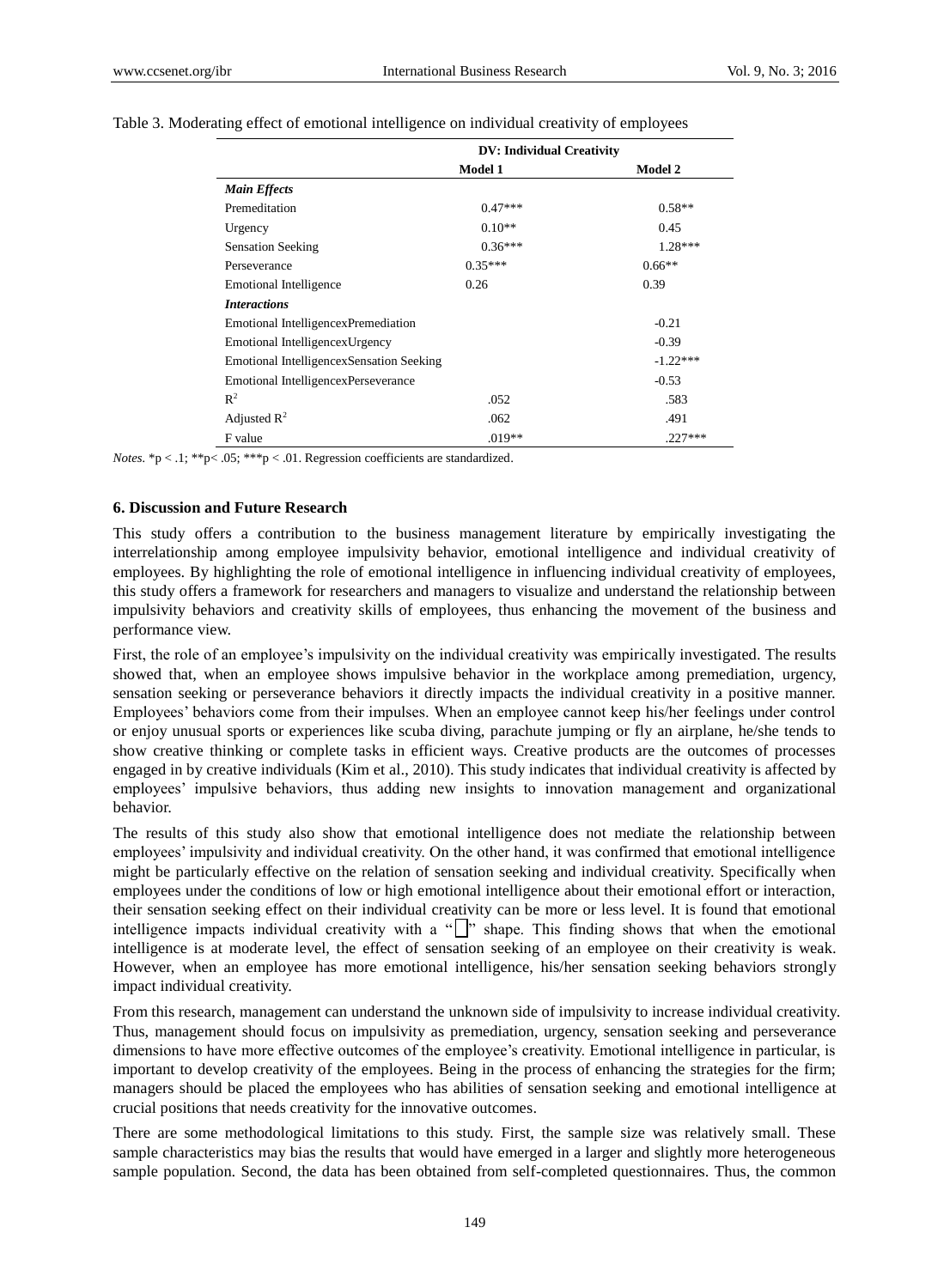|                                          | <b>DV: Individual Creativity</b> |                |
|------------------------------------------|----------------------------------|----------------|
|                                          | <b>Model 1</b>                   | <b>Model 2</b> |
| <b>Main Effects</b>                      |                                  |                |
| Premeditation                            | $0.47***$                        | $0.58**$       |
| Urgency                                  | $0.10**$                         | 0.45           |
| <b>Sensation Seeking</b>                 | $0.36***$                        | $1.28***$      |
| Perseverance                             | $0.35***$                        | $0.66**$       |
| <b>Emotional Intelligence</b>            | 0.26                             | 0.39           |
| <b>Interactions</b>                      |                                  |                |
| Emotional IntelligencexPremediation      |                                  | $-0.21$        |
| Emotional Intelligencex Urgency          |                                  | $-0.39$        |
| Emotional IntelligencexSensation Seeking |                                  | $-1.22***$     |
| Emotional IntelligencexPerseverance      |                                  | $-0.53$        |
| $R^2$                                    | .052                             | .583           |
| Adjusted $R^2$                           | .062                             | .491           |
| F value                                  | $.019**$                         | $.227***$      |

#### Table 3. Moderating effect of emotional intelligence on individual creativity of employees

*Notes.*  $*$ p < .1;  $*$  $*$ p < .05;  $*$  $*$  $*$ p < .01. Regression coefficients are standardized.

#### **6. Discussion and Future Research**

This study offers a contribution to the business management literature by empirically investigating the interrelationship among employee impulsivity behavior, emotional intelligence and individual creativity of employees. By highlighting the role of emotional intelligence in influencing individual creativity of employees, this study offers a framework for researchers and managers to visualize and understand the relationship between impulsivity behaviors and creativity skills of employees, thus enhancing the movement of the business and performance view.

First, the role of an employee's impulsivity on the individual creativity was empirically investigated. The results showed that, when an employee shows impulsive behavior in the workplace among premediation, urgency, sensation seeking or perseverance behaviors it directly impacts the individual creativity in a positive manner. Employees' behaviors come from their impulses. When an employee cannot keep his/her feelings under control or enjoy unusual sports or experiences like scuba diving, parachute jumping or fly an airplane, he/she tends to show creative thinking or complete tasks in efficient ways. Creative products are the outcomes of processes engaged in by creative individuals (Kim et al., 2010). This study indicates that individual creativity is affected by employees' impulsive behaviors, thus adding new insights to innovation management and organizational behavior.

The results of this study also show that emotional intelligence does not mediate the relationship between employees' impulsivity and individual creativity. On the other hand, it was confirmed that emotional intelligence might be particularly effective on the relation of sensation seeking and individual creativity. Specifically when employees under the conditions of low or high emotional intelligence about their emotional effort or interaction, their sensation seeking effect on their individual creativity can be more or less level. It is found that emotional intelligence impacts individual creativity with a " $\Box$ " shape. This finding shows that when the emotional intelligence is at moderate level, the effect of sensation seeking of an employee on their creativity is weak. However, when an employee has more emotional intelligence, his/her sensation seeking behaviors strongly impact individual creativity.

From this research, management can understand the unknown side of impulsivity to increase individual creativity. Thus, management should focus on impulsivity as premediation, urgency, sensation seeking and perseverance dimensions to have more effective outcomes of the employee's creativity. Emotional intelligence in particular, is important to develop creativity of the employees. Being in the process of enhancing the strategies for the firm; managers should be placed the employees who has abilities of sensation seeking and emotional intelligence at crucial positions that needs creativity for the innovative outcomes.

There are some methodological limitations to this study. First, the sample size was relatively small. These sample characteristics may bias the results that would have emerged in a larger and slightly more heterogeneous sample population. Second, the data has been obtained from self-completed questionnaires. Thus, the common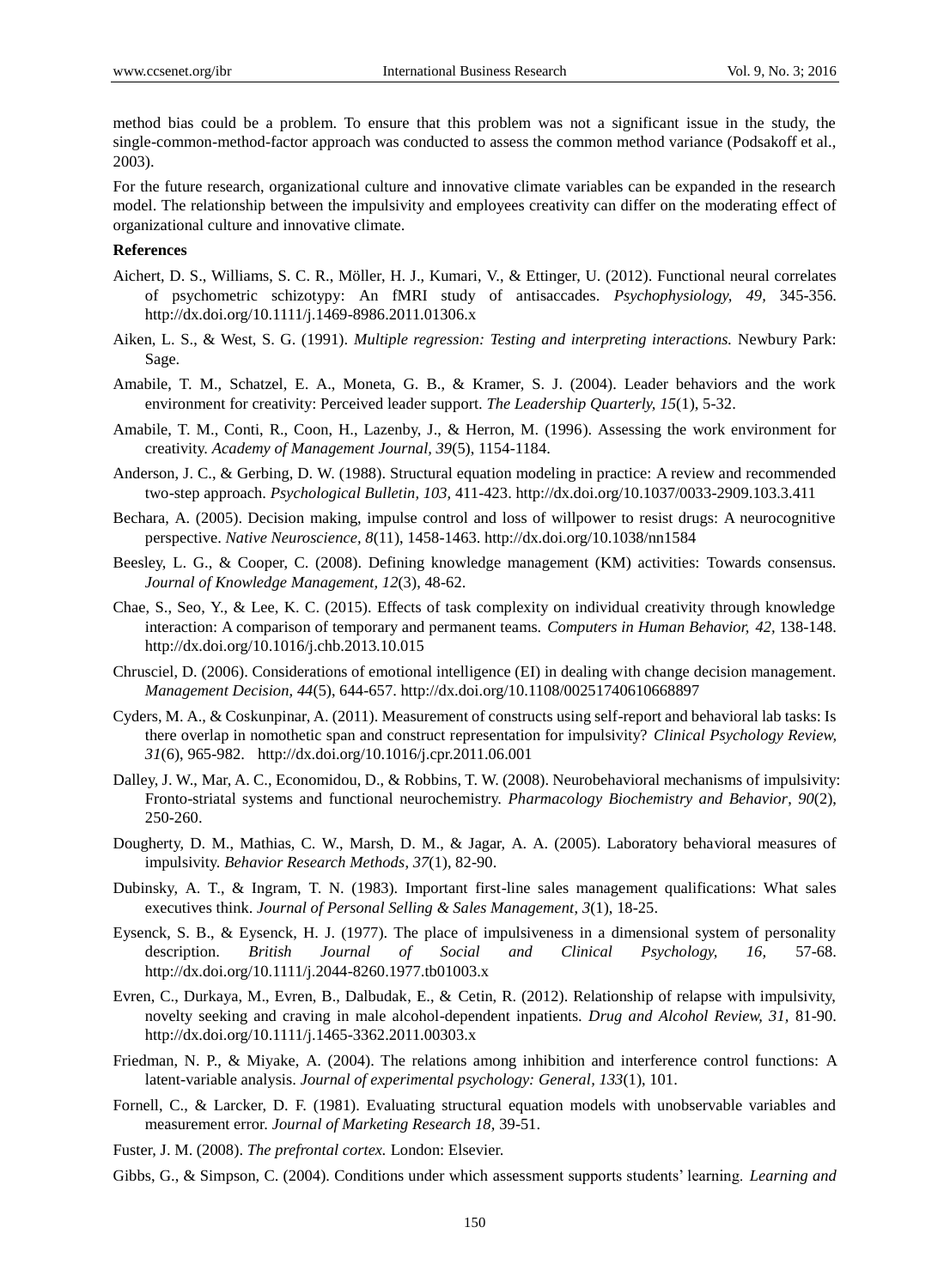method bias could be a problem. To ensure that this problem was not a significant issue in the study, the single-common-method-factor approach was conducted to assess the common method variance (Podsakoff et al., 2003).

For the future research, organizational culture and innovative climate variables can be expanded in the research model. The relationship between the impulsivity and employees creativity can differ on the moderating effect of organizational culture and innovative climate.

#### **References**

- Aichert, D. S., Williams, S. C. R., Möller, H. J., Kumari, V., & Ettinger, U. (2012). Functional neural correlates of psychometric schizotypy: An fMRI study of antisaccades. *Psychophysiology, 49,* 345-356. <http://dx.doi.org/10.1111/j.1469-8986.2011.01306.x>
- Aiken, L. S., & West, S. G. (1991). *Multiple regression: Testing and interpreting interactions.* Newbury Park: Sage.
- Amabile, T. M., Schatzel, E. A., Moneta, G. B., & Kramer, S. J. (2004). Leader behaviors and the work environment for creativity: Perceived leader support. *The Leadership Quarterly, 15*(1), 5-32.
- Amabile, T. M., Conti, R., Coon, H., Lazenby, J., & Herron, M. (1996). Assessing the work environment for creativity. *Academy of Management Journal, 39*(5), 1154-1184.
- Anderson, J. C., & Gerbing, D. W. (1988). Structural equation modeling in practice: A review and recommended two-step approach. *Psychological Bulletin, 103,* 411-423. [http://dx.doi.org/10.1037/0033-2909.103.3.411](http://psycnet.apa.org/doi/10.1037/0033-2909.103.3.411)
- Bechara, A. (2005). Decision making, impulse control and loss of willpower to resist drugs: A neurocognitive perspective. *Native Neuroscience, 8*(11), 1458-1463. <http://dx.doi.org/10.1038/nn1584>
- Beesley, L. G., & Cooper, C. (2008). Defining knowledge management (KM) activities: Towards consensus. *Journal of Knowledge Management, 12*(3), 48-62.
- Chae, S., Seo, Y., & Lee, K. C. (2015). Effects of task complexity on individual creativity through knowledge interaction: A comparison of temporary and permanent teams. *Computers in Human Behavior, 42,* 138-148. http://dx.doi.org[/10.1016/j.chb.2013.10.015](http://dx.doi.org/10.1016/j.chb.2013.10.015)
- Chrusciel, D. (2006). Considerations of emotional intelligence (EI) in dealing with change decision management. *Management Decision, 44*(5), 644-657.<http://dx.doi.org/10.1108/00251740610668897>
- Cyders, M. A., & Coskunpinar, A. (2011). Measurement of constructs using self-report and behavioral lab tasks: Is there overlap in nomothetic span and construct representation for impulsivity? *Clinical Psychology Review, 31*(6), 965-982. <http://dx.doi.org/10.1016/j.cpr.2011.06.001>
- Dalley, J. W., Mar, A. C., Economidou, D., & Robbins, T. W. (2008). Neurobehavioral mechanisms of impulsivity: Fronto-striatal systems and functional neurochemistry. *Pharmacology Biochemistry and Behavior*, *90*(2), 250-260.
- Dougherty, D. M., Mathias, C. W., Marsh, D. M., & Jagar, A. A. (2005). Laboratory behavioral measures of impulsivity. *Behavior Research Methods*, *37*(1), 82-90.
- Dubinsky, A. T., & Ingram, T. N. (1983). Important first-line sales management qualifications: What sales executives think. *Journal of Personal Selling & Sales Management*, *3*(1), 18-25.
- Eysenck, S. B., & Eysenck, H. J. (1977). The place of impulsiveness in a dimensional system of personality description. *British Journal of Social and Clinical Psychology, 16,* 57-68. http://dx.doi.org/10.1111/j.2044-8260.1977.tb01003.x
- Evren, C., Durkaya, M., Evren, B., Dalbudak, E., & Cetin, R. (2012). Relationship of relapse with impulsivity, novelty seeking and craving in male alcohol-dependent inpatients. *Drug and Alcohol Review, 31,* 81-90. <http://dx.doi.org/10.1111/j.1465-3362.2011.00303.x>
- Friedman, N. P., & Miyake, A. (2004). The relations among inhibition and interference control functions: A latent-variable analysis. *Journal of experimental psychology: General, 133*(1), 101.
- Fornell, C., & Larcker, D. F. (1981). Evaluating structural equation models with unobservable variables and measurement error. *Journal of Marketing Research 18,* 39-51.
- Fuster, J. M. (2008). *The prefrontal cortex.* London: Elsevier.
- Gibbs, G., & Simpson, C. (2004). Conditions under which assessment supports students' learning. *Learning and*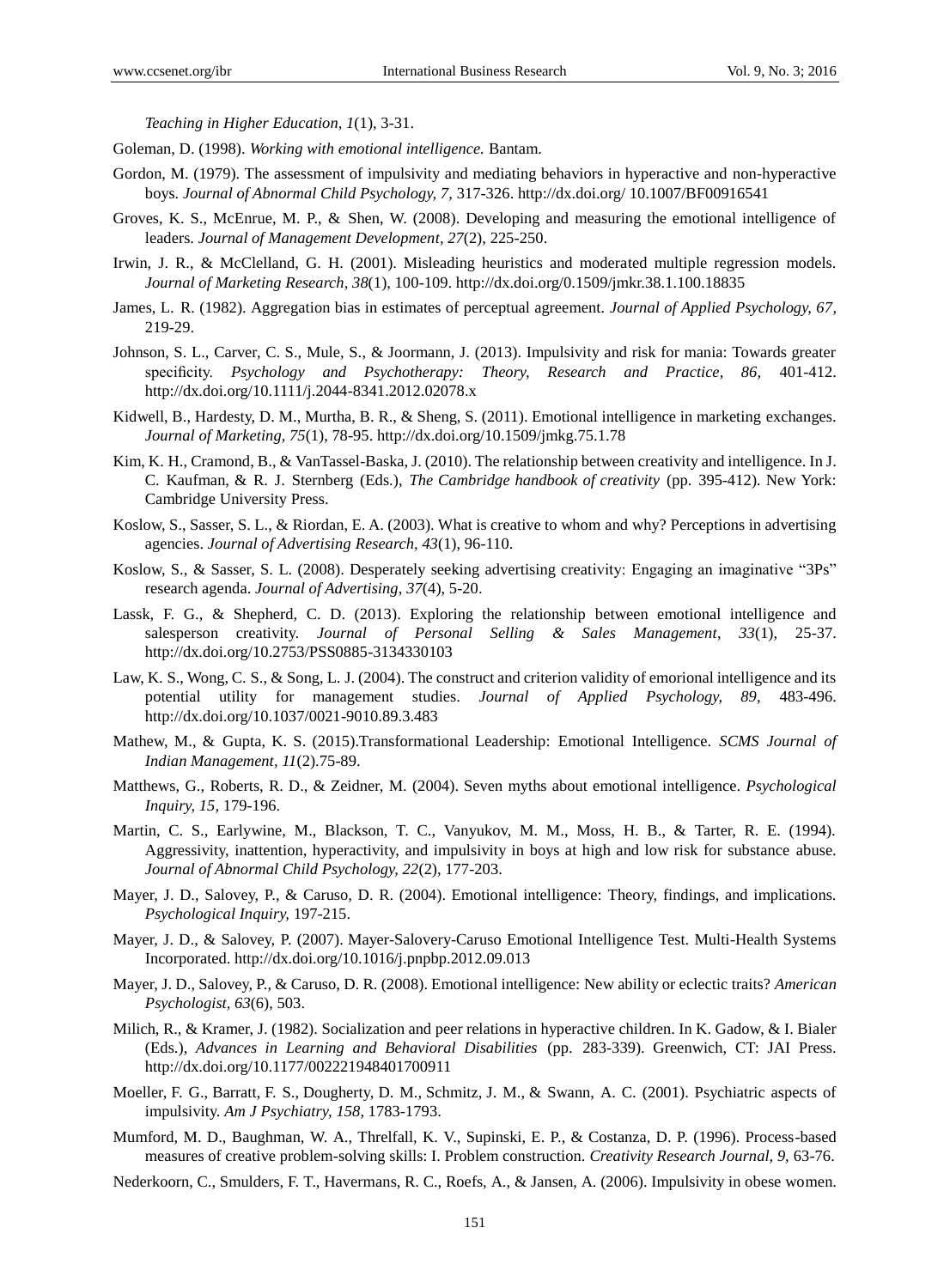*Teaching in Higher Education, 1*(1), 3-31.

- Goleman, D. (1998). *Working with emotional intelligence.* Bantam.
- Gordon, M. (1979). The assessment of impulsivity and mediating behaviors in hyperactive and non-hyperactive boys. *Journal of Abnormal Child Psychology, 7,* 317-326. http://dx.doi.org/ 10.1007/BF00916541
- Groves, K. S., McEnrue, M. P., & Shen, W. (2008). Developing and measuring the emotional intelligence of leaders. *Journal of Management Development, 27*(2), 225-250.
- Irwin, J. R., & McClelland, G. H. (2001). Misleading heuristics and moderated multiple regression models. *Journal of Marketing Research, 38*(1), 100-109. [http://dx.doi.org/0.1509/jmkr.38.1.100.18835](http://dx.doi.org/10.1509/jmkr.38.1.100.18835)
- James, L. R. (1982). Aggregation bias in estimates of perceptual agreement. *Journal of Applied Psychology, 67,*  219-29.
- Johnson, S. L., Carver, C. S., Mule, S., & Joormann, J. (2013). Impulsivity and risk for mania: Towards greater specificity. *Psychology and Psychotherapy: Theory, Research and Practice, 86,* 401-412. http://dx.doi.org/10.1111/j.2044-8341.2012.02078.x
- Kidwell, B., Hardesty, D. M., Murtha, B. R., & Sheng, S. (2011). Emotional intelligence in marketing exchanges. *Journal of Marketing, 75*(1), 78-95. [http://dx.doi.org/1](http://dx.doi.org/)0.1509/jmkg.75.1.78
- Kim, K. H., Cramond, B., & VanTassel-Baska, J. (2010). The relationship between creativity and intelligence. In J. C. Kaufman, & R. J. Sternberg (Eds.), *The Cambridge handbook of creativity* (pp. 395-412)*.* New York: Cambridge University Press.
- Koslow, S., Sasser, S. L., & Riordan, E. A. (2003). What is creative to whom and why? Perceptions in advertising agencies. *Journal of Advertising Research*, *43*(1), 96-110.
- Koslow, S., & Sasser, S. L. (2008). Desperately seeking advertising creativity: Engaging an imaginative "3Ps" research agenda. *Journal of Advertising*, *37*(4), 5-20.
- Lassk, F. G., & Shepherd, C. D. (2013). Exploring the relationship between emotional intelligence and salesperson creativity. *Journal of Personal Selling & Sales Management*, *33*(1), 25-37. [http://dx.doi.org/1](http://dx.doi.org/)0.2753/PSS0885-3134330103
- Law, K. S., Wong, C. S., & Song, L. J. (2004). The construct and criterion validity of emorional intelligence and its potential utility for management studies. *Journal of Applied Psychology, 89,* 483-496. [http://dx.doi.org/10.1037/0021-9010.89.3.483](http://psycnet.apa.org/doi/10.1037/0021-9010.89.3.483)
- Mathew, M., & Gupta, K. S. (2015).Transformational Leadership: Emotional Intelligence. *SCMS Journal of Indian Management, 11*(2).75-89.
- Matthews, G., Roberts, R. D., & Zeidner, M. (2004). Seven myths about emotional intelligence. *Psychological Inquiry, 15,* 179-196.
- Martin, C. S., Earlywine, M., Blackson, T. C., Vanyukov, M. M., Moss, H. B., & Tarter, R. E. (1994). Aggressivity, inattention, hyperactivity, and impulsivity in boys at high and low risk for substance abuse. *Journal of Abnormal Child Psychology, 22*(2), 177-203.
- Mayer, J. D., Salovey, P., & Caruso, D. R. (2004). Emotional intelligence: Theory, findings, and implications. *Psychological Inquiry,* 197-215.
- Mayer, J. D., & Salovey, P. (2007). Mayer-Salovery-Caruso Emotional Intelligence Test. Multi-Health Systems Incorporated.<http://dx.doi.org/10.1016/j.pnpbp.2012.09.013>
- Mayer, J. D., Salovey, P., & Caruso, D. R. (2008). Emotional intelligence: New ability or eclectic traits? *American Psychologist, 63*(6), 503.
- Milich, R., & Kramer, J. (1982). Socialization and peer relations in hyperactive children. In K. Gadow, & I. Bialer (Eds.), *Advances in Learning and Behavioral Disabilities* (pp. 283-339). Greenwich, CT: JAI Press. http://dx.doi.org/10.1177/002221948401700911
- Moeller, F. G., Barratt, F. S., Dougherty, D. M., Schmitz, J. M., & Swann, A. C. (2001). Psychiatric aspects of impulsivity. *Am J Psychiatry, 158,* 1783-1793.
- Mumford, M. D., Baughman, W. A., Threlfall, K. V., Supinski, E. P., & Costanza, D. P. (1996). Process-based measures of creative problem-solving skills: I. Problem construction. *Creativity Research Journal, 9,* 63-76.
- Nederkoorn, C., Smulders, F. T., Havermans, R. C., Roefs, A., & Jansen, A. (2006). Impulsivity in obese women.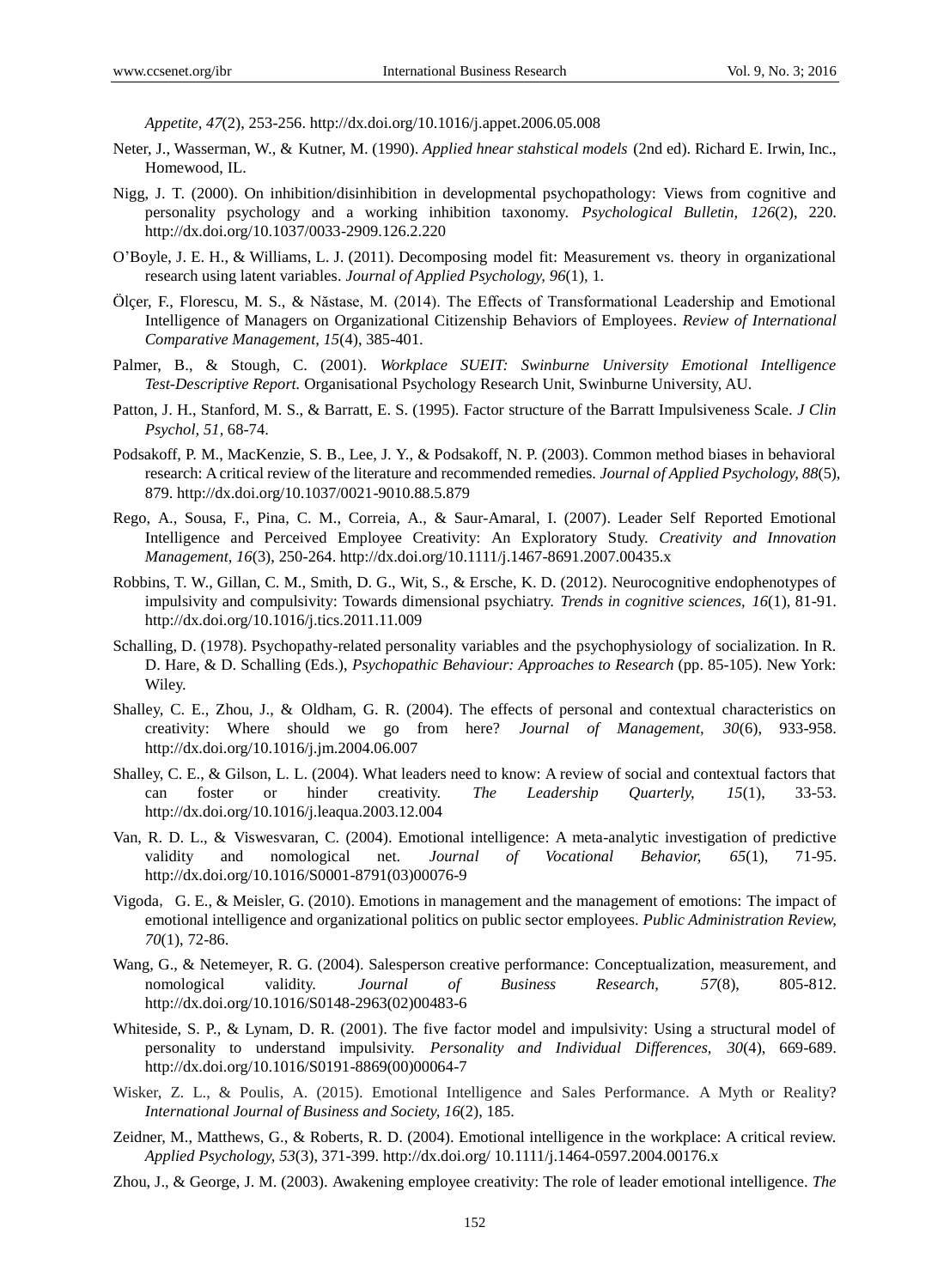*Appetite, 47*(2), 253-256. http://dx.doi.org[/10.1016/j.appet.2006.05.008](http://dx.doi.org/10.1016/j.appet.2006.05.008)

- Neter, J., Wasserman, W., & Kutner, M. (1990). *Applied hnear stahstical models* (2nd ed). Richard E. Irwin, Inc., Homewood, IL.
- Nigg, J. T. (2000). On inhibition/disinhibition in developmental psychopathology: Views from cognitive and personality psychology and a working inhibition taxonomy. *Psychological Bulletin, 126*(2), 220. http://dx.doi.org/10.1037/0033-2909.126.2.220
- O'Boyle, J. E. H., & Williams, L. J. (2011). Decomposing model fit: Measurement vs. theory in organizational research using latent variables. *Journal of Applied Psychology, 96*(1), 1.
- Ö lçer, F., Florescu, M. S., & Năstase, M. (2014). The Effects of Transformational Leadership and Emotional Intelligence of Managers on Organizational Citizenship Behaviors of Employees. *Review of International Comparative Management, 15*(4), 385-401.
- Palmer, B., & Stough, C. (2001). *Workplace SUEIT: Swinburne University Emotional Intelligence Test-Descriptive Report.* Organisational Psychology Research Unit, Swinburne University, AU.
- Patton, J. H., Stanford, M. S., & Barratt, E. S. (1995). Factor structure of the Barratt Impulsiveness Scale. *J Clin Psychol, 51,* 68-74.
- Podsakoff, P. M., MacKenzie, S. B., Lee, J. Y., & Podsakoff, N. P. (2003). Common method biases in behavioral research: A critical review of the literature and recommended remedies. *Journal of Applied Psychology, 88*(5), 879. http://dx.doi.org/10.1037/0021-9010.88.5.879
- Rego, A., Sousa, F., Pina, C. M., Correia, A., & Saur-Amaral, I. (2007). Leader Self Reported Emotional Intelligence and Perceived Employee Creativity: An Exploratory Study. *Creativity and Innovation Management, 16*(3), 250-264.<http://dx.doi.org/10.1111/j.1467-8691.2007.00435.x>
- Robbins, T. W., Gillan, C. M., Smith, D. G., Wit, S., & Ersche, K. D. (2012). Neurocognitive endophenotypes of impulsivity and compulsivity: Towards dimensional psychiatry. *Trends in cognitive sciences, 16*(1), 81-91. http://dx.doi.org[/10.1016/j.tics.2011.11.009](http://dx.doi.org/10.1016/j.tics.2011.11.009)
- Schalling, D. (1978). Psychopathy-related personality variables and the psychophysiology of socialization. In R. D. Hare, & D. Schalling (Eds.), *Psychopathic Behaviour: Approaches to Research* (pp. 85-105). New York: Wiley.
- Shalley, C. E., Zhou, J., & Oldham, G. R. (2004). The effects of personal and contextual characteristics on creativity: Where should we go from here? *Journal of Management, 30*(6), 933-958. http://dx.doi.org/10.1016/j.jm.2004.06.007
- Shalley, C. E., & Gilson, L. L. (2004). What leaders need to know: A review of social and contextual factors that can foster or hinder creativity. *The Leadership Quarterly, 15*(1), 33-53. http://dx.doi.org/10.1016/j.leaqua.2003.12.004
- Van, R. D. L., & Viswesvaran, C. (2004). Emotional intelligence: A meta-analytic investigation of predictive validity and nomological net. *Journal of Vocational Behavior, 65*(1), 71-95. [http://dx.doi.org/10.1016/S0001-8791\(03\)00076-9](http://dx.doi.org/)
- Vigoda, G. E., & Meisler, G. (2010). Emotions in management and the management of emotions: The impact of emotional intelligence and organizational politics on public sector employees. *Public Administration Review, 70*(1), 72-86.
- Wang, G., & Netemeyer, R. G. (2004). Salesperson creative performance: Conceptualization, measurement, and nomological validity. *Journal of Business Research, 57*(8), 805-812. [http://dx.doi.org/1](http://dx.doi.org/)0.1016/S0148-2963(02)00483-6
- Whiteside, S. P., & Lynam, D. R. (2001). The five factor model and impulsivity: Using a structural model of personality to understand impulsivity. *Personality and Individual Differences, 30*(4), 669-689. [http://dx.doi.org/10.1016/S0191-8869\(00\)00064-7](http://dx.doi.org/10.1016/S0191-8869(00)00064-7)
- Wisker, Z. L., & Poulis, A. (2015). Emotional Intelligence and Sales Performance. A Myth or Reality? *International Journal of Business and Society, 16*(2), 185.
- Zeidner, M., Matthews, G., & Roberts, R. D. (2004). Emotional intelligence in the workplace: A critical review. *Applied Psychology, 53*(3), 371-399. http://dx.doi.org/ 10.1111/j.1464-0597.2004.00176.x
- Zhou, J., & George, J. M. (2003). Awakening employee creativity: The role of leader emotional intelligence. *The*